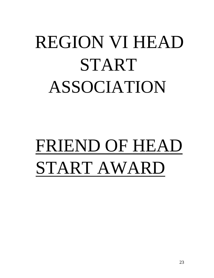# REGION VI HEAD START ASSOCIATION

# FRIEND OF HEAD START AWARD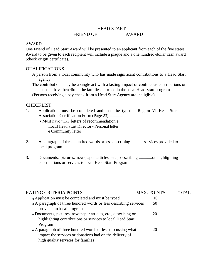### HEAD START

#### FRIEND OF AWARD

#### AWARD

One Friend of Head Start Award will be presented to an applicant from each of the five states. Award to be given to each recipient will include a plaque and a one hundred-dollar cash award (check or gift certificate).

#### OUALIFICATIONS

- A person from a local community who has made significant contributions to a Head Start agency.
- The contributions may be a single act with a lasting impact or continuous contributions or acts that have benefitted the families enrolled in the local Head Start program.
- (Persons receiving a pay check from a Head Start Agency are ineligible)

#### **CHECKLIST**

- 1. Application must be completed and must be typed e Region VI Head Start Association Certification Form (Page 23)
	- Must have three letters of recommendation e Local Head Start Director • Personal letter e Community letter
- 2. A paragraph of three hundred words or less describing \_\_\_\_\_\_\_\_\_\_ services provided to local program
- 3. Documents, pictures, newspaper articles, etc., describing <u>same</u> or highlighting contributions or services to local Head Start Program

| RATING CRITERIA POINTS                                           | <b>MAX. POINTS</b> | TOTAL |
|------------------------------------------------------------------|--------------------|-------|
| • Application must be completed and must be typed                | 10                 |       |
| • A paragraph of three hundred words or less describing services | 50                 |       |
| provided to local program                                        |                    |       |
| • Documents, pictures, newspaper articles, etc., describing or   | 20                 |       |
| highlighting contributions or services to local Head Start       |                    |       |
| Program                                                          |                    |       |
| • A paragraph of three hundred words or less discussing what     | 20                 |       |
| impact the services or donations had on the delivery of          |                    |       |
| high quality services for families                               |                    |       |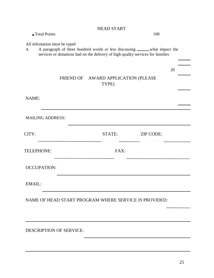|                                    | <b>HEAD START</b>                            |                                                                                                                                                                 |    |
|------------------------------------|----------------------------------------------|-----------------------------------------------------------------------------------------------------------------------------------------------------------------|----|
| • Total Points                     |                                              | 100                                                                                                                                                             |    |
| All infomation must be typed<br>4. |                                              | A paragraph of three hundred words or less discussing ______ what impact the<br>services or donations had on the delivery of high quality services for families |    |
|                                    |                                              |                                                                                                                                                                 | 20 |
|                                    | FRIEND OF AWARD APPLICATION (PLEASE<br>TYPE) |                                                                                                                                                                 |    |
| NAME:                              |                                              |                                                                                                                                                                 |    |
| <b>MAILING ADDRESS:</b>            |                                              |                                                                                                                                                                 |    |
| CITY:                              | STATE:                                       | <b>ZIP CODE:</b>                                                                                                                                                |    |
| <b>TELEPHONE:</b>                  | FAX:                                         |                                                                                                                                                                 |    |
| <b>OCCUPATION:</b>                 |                                              |                                                                                                                                                                 |    |
| EMAIL:                             |                                              |                                                                                                                                                                 |    |
|                                    |                                              | NAME OF HEAD START PROGRAM WHERE SERVICE IS PROVIDED:                                                                                                           |    |
|                                    |                                              |                                                                                                                                                                 |    |
| <b>DESCRIPTION OF SERVICE:</b>     |                                              |                                                                                                                                                                 |    |
|                                    |                                              |                                                                                                                                                                 |    |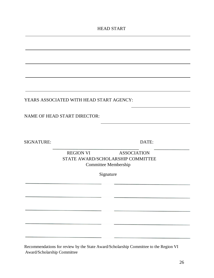HEAD START

YEARS ASSOCIATED WITH HEAD START AGENCY:

NAME OF HEAD START DIRECTOR:

SIGNATURE: DATE:

REGION VI ASSOCIATION STATE AWARD/SCHOLARSHIP COMMITTEE Committee Membership

Signature

Recommendations for review by the State Award/Scholarship Committee to the Region VI Award/Scholarship Committee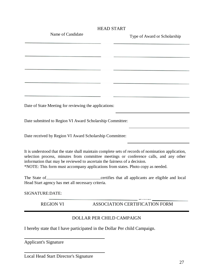|                                                                                                                                                              | <b>HEAD START</b>                                                                                                                                                                           |
|--------------------------------------------------------------------------------------------------------------------------------------------------------------|---------------------------------------------------------------------------------------------------------------------------------------------------------------------------------------------|
| Name of Candidate                                                                                                                                            | Type of Award or Scholarship                                                                                                                                                                |
|                                                                                                                                                              |                                                                                                                                                                                             |
|                                                                                                                                                              |                                                                                                                                                                                             |
|                                                                                                                                                              |                                                                                                                                                                                             |
|                                                                                                                                                              |                                                                                                                                                                                             |
|                                                                                                                                                              |                                                                                                                                                                                             |
|                                                                                                                                                              |                                                                                                                                                                                             |
|                                                                                                                                                              |                                                                                                                                                                                             |
|                                                                                                                                                              |                                                                                                                                                                                             |
| Date of State Meeting for reviewing the applications:                                                                                                        |                                                                                                                                                                                             |
|                                                                                                                                                              |                                                                                                                                                                                             |
| Date submitted to Region VI Award Scholarship Committee:                                                                                                     |                                                                                                                                                                                             |
| Date received by Region VI Award Scholarship Committee:                                                                                                      |                                                                                                                                                                                             |
| information that may be reviewed to ascertain the fairness of a decision.<br>*NOTE: This form must accompany applications from states. Photo copy as needed. | It is understood that the state shall maintain complete sets of records of nomination application,<br>selection process, minutes from committee meetings or conference calls, and any other |
| Head Start agency has met all necessary criteria.                                                                                                            |                                                                                                                                                                                             |
| SIGNATURE: DATE:                                                                                                                                             |                                                                                                                                                                                             |
| <b>REGION VI</b>                                                                                                                                             | ASSOCIATION CERTIFICATION FORM                                                                                                                                                              |
|                                                                                                                                                              | <b>DOLLAR PER CHILD CAMPAIGN</b>                                                                                                                                                            |
| I hereby state that I have participated in the Dollar Per child Campaign.                                                                                    |                                                                                                                                                                                             |
| <b>Applicant's Signature</b>                                                                                                                                 |                                                                                                                                                                                             |